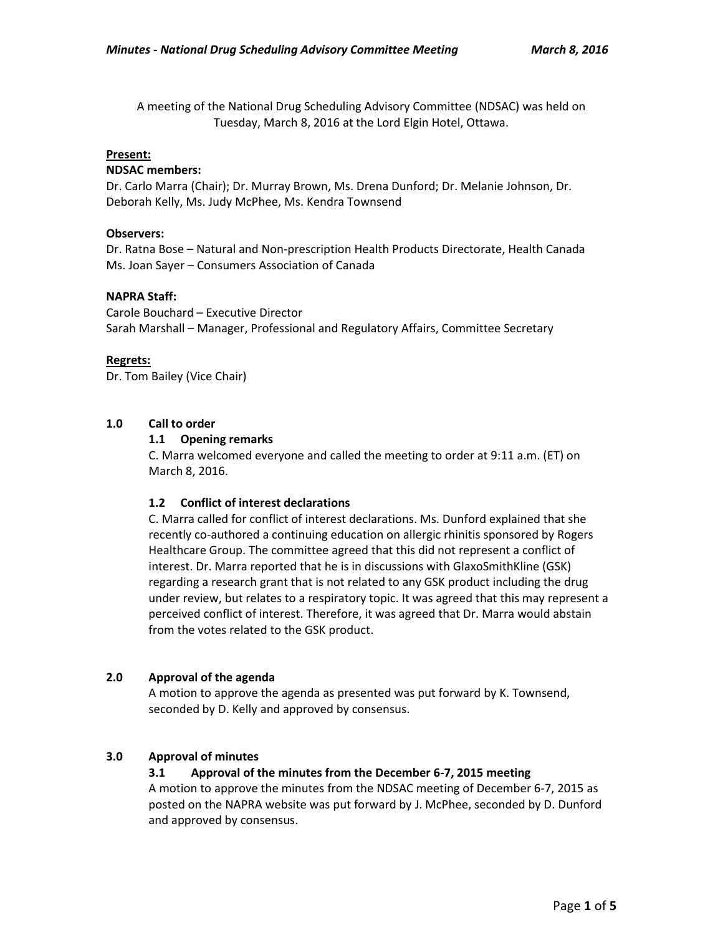A meeting of the National Drug Scheduling Advisory Committee (NDSAC) was held on Tuesday, March 8, 2016 at the Lord Elgin Hotel, Ottawa.

## **Present:**

#### **NDSAC members:**

Dr. Carlo Marra (Chair); Dr. Murray Brown, Ms. Drena Dunford; Dr. Melanie Johnson, Dr. Deborah Kelly, Ms. Judy McPhee, Ms. Kendra Townsend

## **Observers:**

Dr. Ratna Bose – Natural and Non-prescription Health Products Directorate, Health Canada Ms. Joan Sayer – Consumers Association of Canada

## **NAPRA Staff:**

Carole Bouchard – Executive Director Sarah Marshall – Manager, Professional and Regulatory Affairs, Committee Secretary

## **Regrets:**

Dr. Tom Bailey (Vice Chair)

# **1.0 Call to order**

## **1.1 Opening remarks**

C. Marra welcomed everyone and called the meeting to order at 9:11 a.m. (ET) on March 8, 2016.

# **1.2 Conflict of interest declarations**

C. Marra called for conflict of interest declarations. Ms. Dunford explained that she recently co-authored a continuing education on allergic rhinitis sponsored by Rogers Healthcare Group. The committee agreed that this did not represent a conflict of interest. Dr. Marra reported that he is in discussions with GlaxoSmithKline (GSK) regarding a research grant that is not related to any GSK product including the drug under review, but relates to a respiratory topic. It was agreed that this may represent a perceived conflict of interest. Therefore, it was agreed that Dr. Marra would abstain from the votes related to the GSK product.

# **2.0 Approval of the agenda**

A motion to approve the agenda as presented was put forward by K. Townsend, seconded by D. Kelly and approved by consensus.

# **3.0 Approval of minutes**

# **3.1 Approval of the minutes from the December 6-7, 2015 meeting**

A motion to approve the minutes from the NDSAC meeting of December 6-7, 2015 as posted on the NAPRA website was put forward by J. McPhee, seconded by D. Dunford and approved by consensus.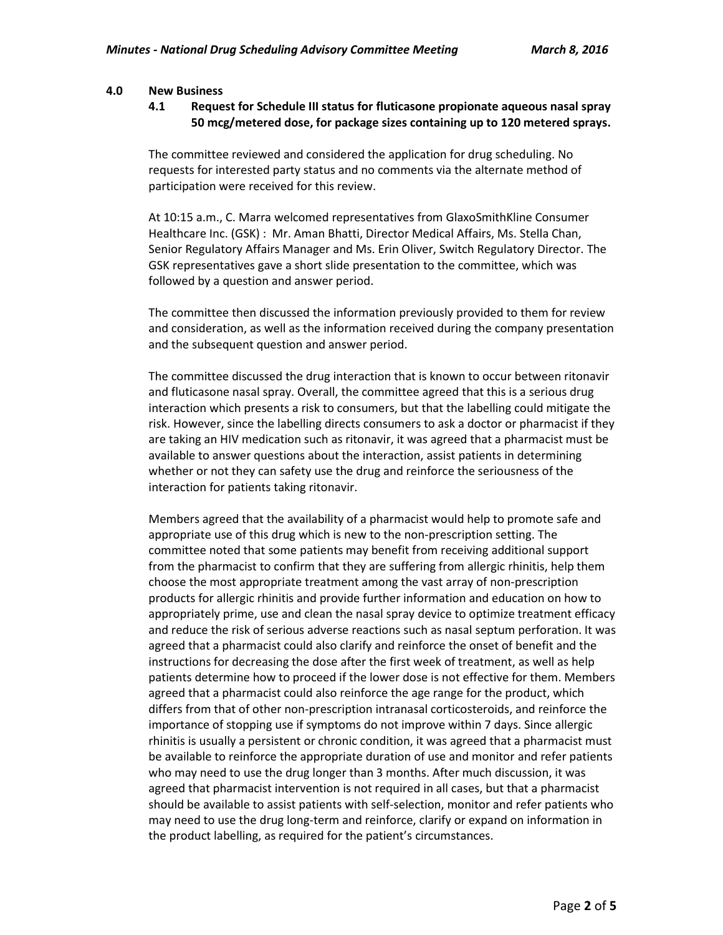#### **4.0 New Business**

## **4.1 Request for Schedule III status for fluticasone propionate aqueous nasal spray 50 mcg/metered dose, for package sizes containing up to 120 metered sprays.**

The committee reviewed and considered the application for drug scheduling. No requests for interested party status and no comments via the alternate method of participation were received for this review.

At 10:15 a.m., C. Marra welcomed representatives from GlaxoSmithKline Consumer Healthcare Inc. (GSK) : Mr. Aman Bhatti, Director Medical Affairs, Ms. Stella Chan, Senior Regulatory Affairs Manager and Ms. Erin Oliver, Switch Regulatory Director. The GSK representatives gave a short slide presentation to the committee, which was followed by a question and answer period.

The committee then discussed the information previously provided to them for review and consideration, as well as the information received during the company presentation and the subsequent question and answer period.

The committee discussed the drug interaction that is known to occur between ritonavir and fluticasone nasal spray. Overall, the committee agreed that this is a serious drug interaction which presents a risk to consumers, but that the labelling could mitigate the risk. However, since the labelling directs consumers to ask a doctor or pharmacist if they are taking an HIV medication such as ritonavir, it was agreed that a pharmacist must be available to answer questions about the interaction, assist patients in determining whether or not they can safety use the drug and reinforce the seriousness of the interaction for patients taking ritonavir.

Members agreed that the availability of a pharmacist would help to promote safe and appropriate use of this drug which is new to the non-prescription setting. The committee noted that some patients may benefit from receiving additional support from the pharmacist to confirm that they are suffering from allergic rhinitis, help them choose the most appropriate treatment among the vast array of non-prescription products for allergic rhinitis and provide further information and education on how to appropriately prime, use and clean the nasal spray device to optimize treatment efficacy and reduce the risk of serious adverse reactions such as nasal septum perforation. It was agreed that a pharmacist could also clarify and reinforce the onset of benefit and the instructions for decreasing the dose after the first week of treatment, as well as help patients determine how to proceed if the lower dose is not effective for them. Members agreed that a pharmacist could also reinforce the age range for the product, which differs from that of other non-prescription intranasal corticosteroids, and reinforce the importance of stopping use if symptoms do not improve within 7 days. Since allergic rhinitis is usually a persistent or chronic condition, it was agreed that a pharmacist must be available to reinforce the appropriate duration of use and monitor and refer patients who may need to use the drug longer than 3 months. After much discussion, it was agreed that pharmacist intervention is not required in all cases, but that a pharmacist should be available to assist patients with self-selection, monitor and refer patients who may need to use the drug long-term and reinforce, clarify or expand on information in the product labelling, as required for the patient's circumstances.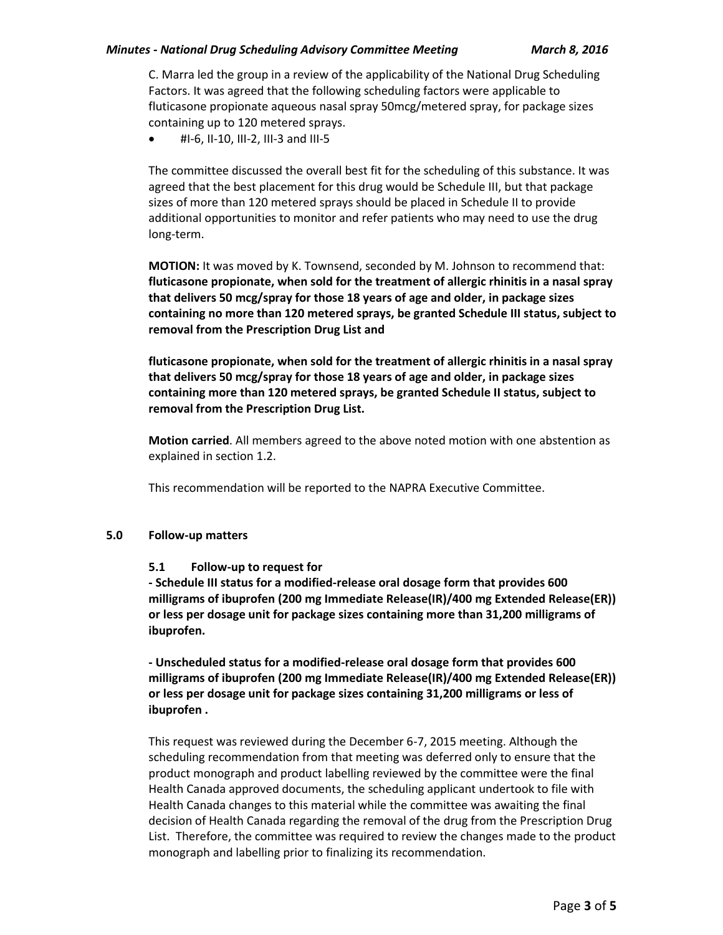## *Minutes - National Drug Scheduling Advisory Committee Meeting March 8, 2016*

C. Marra led the group in a review of the applicability of the National Drug Scheduling Factors. It was agreed that the following scheduling factors were applicable to fluticasone propionate aqueous nasal spray 50mcg/metered spray, for package sizes containing up to 120 metered sprays.

#I-6, II-10, III-2, III-3 and III-5

The committee discussed the overall best fit for the scheduling of this substance. It was agreed that the best placement for this drug would be Schedule III, but that package sizes of more than 120 metered sprays should be placed in Schedule II to provide additional opportunities to monitor and refer patients who may need to use the drug long-term.

**MOTION:** It was moved by K. Townsend, seconded by M. Johnson to recommend that: **fluticasone propionate, when sold for the treatment of allergic rhinitis in a nasal spray that delivers 50 mcg/spray for those 18 years of age and older, in package sizes containing no more than 120 metered sprays, be granted Schedule III status, subject to removal from the Prescription Drug List and**

**fluticasone propionate, when sold for the treatment of allergic rhinitis in a nasal spray that delivers 50 mcg/spray for those 18 years of age and older, in package sizes containing more than 120 metered sprays, be granted Schedule II status, subject to removal from the Prescription Drug List.**

**Motion carried**. All members agreed to the above noted motion with one abstention as explained in section 1.2.

This recommendation will be reported to the NAPRA Executive Committee.

# **5.0 Follow-up matters**

# **5.1 Follow-up to request for**

**- Schedule III status for a modified-release oral dosage form that provides 600 milligrams of ibuprofen (200 mg Immediate Release(IR)/400 mg Extended Release(ER)) or less per dosage unit for package sizes containing more than 31,200 milligrams of ibuprofen.** 

**- Unscheduled status for a modified-release oral dosage form that provides 600 milligrams of ibuprofen (200 mg Immediate Release(IR)/400 mg Extended Release(ER)) or less per dosage unit for package sizes containing 31,200 milligrams or less of ibuprofen .**

This request was reviewed during the December 6-7, 2015 meeting. Although the scheduling recommendation from that meeting was deferred only to ensure that the product monograph and product labelling reviewed by the committee were the final Health Canada approved documents, the scheduling applicant undertook to file with Health Canada changes to this material while the committee was awaiting the final decision of Health Canada regarding the removal of the drug from the Prescription Drug List. Therefore, the committee was required to review the changes made to the product monograph and labelling prior to finalizing its recommendation.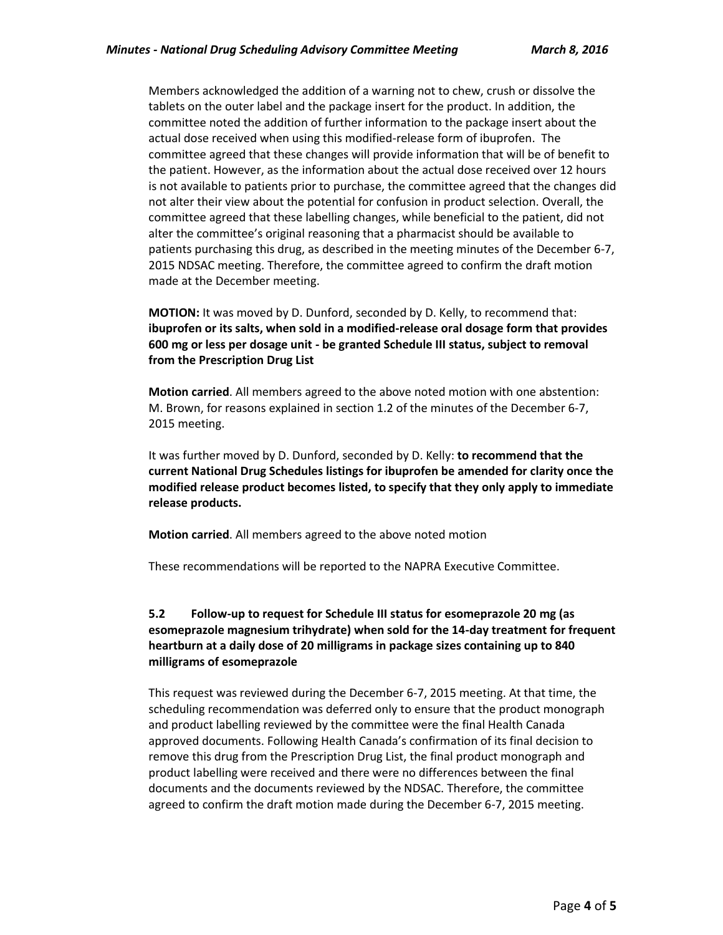Members acknowledged the addition of a warning not to chew, crush or dissolve the tablets on the outer label and the package insert for the product. In addition, the committee noted the addition of further information to the package insert about the actual dose received when using this modified-release form of ibuprofen. The committee agreed that these changes will provide information that will be of benefit to the patient. However, as the information about the actual dose received over 12 hours is not available to patients prior to purchase, the committee agreed that the changes did not alter their view about the potential for confusion in product selection. Overall, the committee agreed that these labelling changes, while beneficial to the patient, did not alter the committee's original reasoning that a pharmacist should be available to patients purchasing this drug, as described in the meeting minutes of the December 6-7, 2015 NDSAC meeting. Therefore, the committee agreed to confirm the draft motion made at the December meeting.

**MOTION:** It was moved by D. Dunford, seconded by D. Kelly, to recommend that: **ibuprofen or its salts, when sold in a modified-release oral dosage form that provides 600 mg or less per dosage unit - be granted Schedule III status, subject to removal from the Prescription Drug List**

**Motion carried**. All members agreed to the above noted motion with one abstention: M. Brown, for reasons explained in section 1.2 of the minutes of the December 6-7, 2015 meeting.

It was further moved by D. Dunford, seconded by D. Kelly: **to recommend that the current National Drug Schedules listings for ibuprofen be amended for clarity once the modified release product becomes listed, to specify that they only apply to immediate release products.** 

**Motion carried**. All members agreed to the above noted motion

These recommendations will be reported to the NAPRA Executive Committee.

# **5.2 Follow-up to request for Schedule III status for esomeprazole 20 mg (as esomeprazole magnesium trihydrate) when sold for the 14-day treatment for frequent heartburn at a daily dose of 20 milligrams in package sizes containing up to 840 milligrams of esomeprazole**

This request was reviewed during the December 6-7, 2015 meeting. At that time, the scheduling recommendation was deferred only to ensure that the product monograph and product labelling reviewed by the committee were the final Health Canada approved documents. Following Health Canada's confirmation of its final decision to remove this drug from the Prescription Drug List, the final product monograph and product labelling were received and there were no differences between the final documents and the documents reviewed by the NDSAC. Therefore, the committee agreed to confirm the draft motion made during the December 6-7, 2015 meeting.